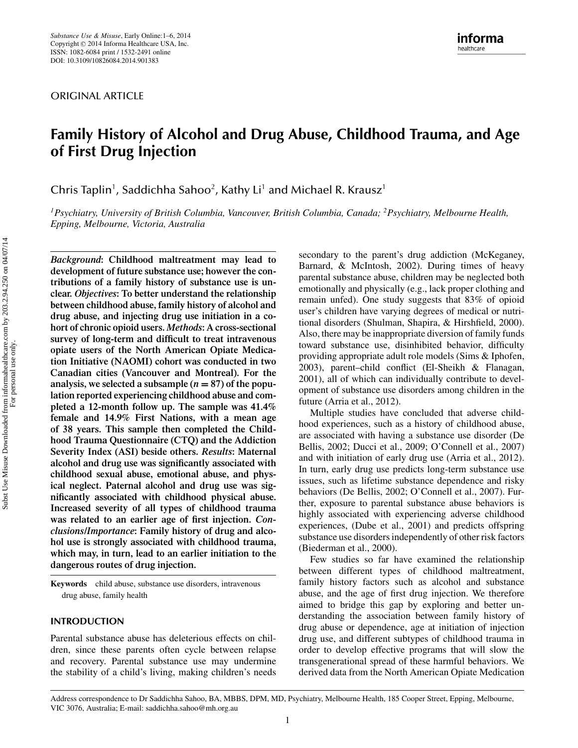ORIGINAL ARTICLE

# **Family History of Alcohol and Drug Abuse, Childhood Trauma, and Age of First Drug Injection**

Chris Taplin<sup>1</sup>, Saddichha Sahoo<sup>2</sup>, Kathy Li<sup>1</sup> and Michael R. Krausz<sup>1</sup>

*1Psychiatry, University of British Columbia, Vancouver, British Columbia, Canada; 2Psychiatry, Melbourne Health, Epping, Melbourne, Victoria, Australia*

*Background***: Childhood maltreatment may lead to development of future substance use; however the contributions of a family history of substance use is unclear.** *Objectives***: To better understand the relationship between childhood abuse, family history of alcohol and drug abuse, and injecting drug use initiation in a cohort of chronic opioid users.** *Methods***: A cross-sectional survey of long-term and difficult to treat intravenous opiate users of the North American Opiate Medication Initiative (NAOMI) cohort was conducted in two Canadian cities (Vancouver and Montreal). For the** analysis, we selected a subsample  $(n = 87)$  of the popu**lation reported experiencing childhood abuse and completed a 12-month follow up. The sample was 41.4% female and 14.9% First Nations, with a mean age of 38 years. This sample then completed the Childhood Trauma Questionnaire (CTQ) and the Addiction Severity Index (ASI) beside others.** *Results***: Maternal alcohol and drug use was significantly associated with childhood sexual abuse, emotional abuse, and physical neglect. Paternal alcohol and drug use was significantly associated with childhood physical abuse. Increased severity of all types of childhood trauma was related to an earlier age of first injection.** *Conclusions/Importance***: Family history of drug and alcohol use is strongly associated with childhood trauma, which may, in turn, lead to an earlier initiation to the dangerous routes of drug injection.**

**Keywords** child abuse, substance use disorders, intravenous drug abuse, family health

# **INTRODUCTION**

Parental substance abuse has deleterious effects on children, since these parents often cycle between relapse and recovery. Parental substance use may undermine the stability of a child's living, making children's needs secondary to the parent's drug addiction (McKeganey, Barnard, & McIntosh, 2002). During times of heavy parental substance abuse, children may be neglected both emotionally and physically (e.g., lack proper clothing and remain unfed). One study suggests that 83% of opioid user's children have varying degrees of medical or nutritional disorders (Shulman, Shapira, & Hirshfield, 2000). Also, there may be inappropriate diversion of family funds toward substance use, disinhibited behavior, difficulty providing appropriate adult role models (Sims & Iphofen, 2003), parent–child conflict (El-Sheikh & Flanagan, 2001), all of which can individually contribute to development of substance use disorders among children in the future (Arria et al., 2012).

Multiple studies have concluded that adverse childhood experiences, such as a history of childhood abuse, are associated with having a substance use disorder (De Bellis, 2002; Ducci et al., 2009; O'Connell et al., 2007) and with initiation of early drug use (Arria et al., 2012). In turn, early drug use predicts long-term substance use issues, such as lifetime substance dependence and risky behaviors (De Bellis, 2002; O'Connell et al., 2007). Further, exposure to parental substance abuse behaviors is highly associated with experiencing adverse childhood experiences, (Dube et al., 2001) and predicts offspring substance use disorders independently of other risk factors (Biederman et al., 2000).

Few studies so far have examined the relationship between different types of childhood maltreatment, family history factors such as alcohol and substance abuse, and the age of first drug injection. We therefore aimed to bridge this gap by exploring and better understanding the association between family history of drug abuse or dependence, age at initiation of injection drug use, and different subtypes of childhood trauma in order to develop effective programs that will slow the transgenerational spread of these harmful behaviors. We derived data from the North American Opiate Medication

Subst Use Misuse Downloaded from informahealthcare.com by 203.2.94.250 on 04/07/14 For personal use only.

Subst Use Misuse Downloaded from informahealthcare.com by 203.2.94.250 on 04/07/14<br>For personal use only.

Address correspondence to Dr Saddichha Sahoo, BA, MBBS, DPM, MD, Psychiatry, Melbourne Health, 185 Cooper Street, Epping, Melbourne, VIC 3076, Australia; E-mail: saddichha.sahoo@mh.org.au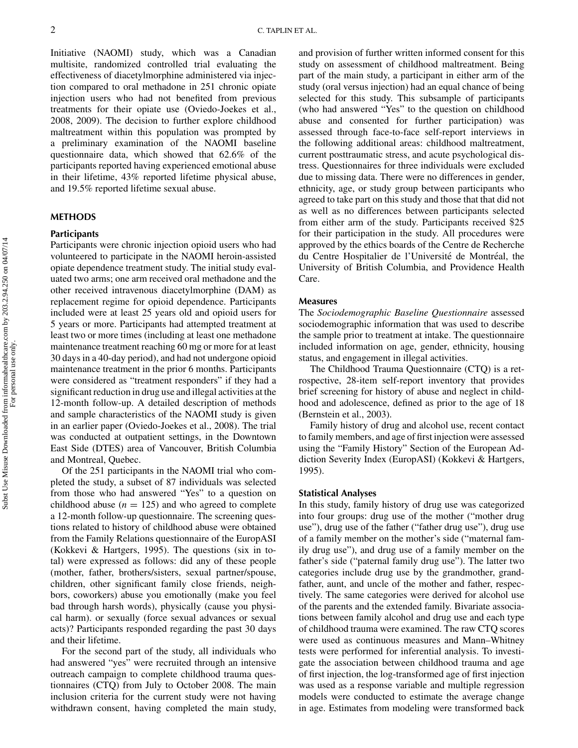Initiative (NAOMI) study, which was a Canadian multisite, randomized controlled trial evaluating the effectiveness of diacetylmorphine administered via injection compared to oral methadone in 251 chronic opiate injection users who had not benefited from previous treatments for their opiate use (Oviedo-Joekes et al., 2008, 2009). The decision to further explore childhood maltreatment within this population was prompted by a preliminary examination of the NAOMI baseline questionnaire data, which showed that 62.6% of the participants reported having experienced emotional abuse in their lifetime, 43% reported lifetime physical abuse, and 19.5% reported lifetime sexual abuse.

# **METHODS**

# **Participants**

Participants were chronic injection opioid users who had volunteered to participate in the NAOMI heroin-assisted opiate dependence treatment study. The initial study evaluated two arms; one arm received oral methadone and the other received intravenous diacetylmorphine (DAM) as replacement regime for opioid dependence. Participants included were at least 25 years old and opioid users for 5 years or more. Participants had attempted treatment at least two or more times (including at least one methadone maintenance treatment reaching 60 mg or more for at least 30 days in a 40-day period), and had not undergone opioid maintenance treatment in the prior 6 months. Participants were considered as "treatment responders" if they had a significant reduction in drug use and illegal activities at the 12-month follow-up. A detailed description of methods and sample characteristics of the NAOMI study is given in an earlier paper (Oviedo-Joekes et al., 2008). The trial was conducted at outpatient settings, in the Downtown East Side (DTES) area of Vancouver, British Columbia and Montreal, Quebec.

Of the 251 participants in the NAOMI trial who completed the study, a subset of 87 individuals was selected from those who had answered "Yes" to a question on childhood abuse  $(n = 125)$  and who agreed to complete a 12-month follow-up questionnaire. The screening questions related to history of childhood abuse were obtained from the Family Relations questionnaire of the EuropASI (Kokkevi & Hartgers, 1995). The questions (six in total) were expressed as follows: did any of these people (mother, father, brothers/sisters, sexual partner/spouse, children, other significant family close friends, neighbors, coworkers) abuse you emotionally (make you feel bad through harsh words), physically (cause you physical harm). or sexually (force sexual advances or sexual acts)? Participants responded regarding the past 30 days and their lifetime.

For the second part of the study, all individuals who had answered "yes" were recruited through an intensive outreach campaign to complete childhood trauma questionnaires (CTQ) from July to October 2008. The main inclusion criteria for the current study were not having withdrawn consent, having completed the main study,

and provision of further written informed consent for this study on assessment of childhood maltreatment. Being part of the main study, a participant in either arm of the study (oral versus injection) had an equal chance of being selected for this study. This subsample of participants (who had answered "Yes" to the question on childhood abuse and consented for further participation) was assessed through face-to-face self-report interviews in the following additional areas: childhood maltreatment, current posttraumatic stress, and acute psychological distress. Questionnaires for three individuals were excluded due to missing data. There were no differences in gender, ethnicity, age, or study group between participants who agreed to take part on this study and those that that did not as well as no differences between participants selected from either arm of the study. Participants received \$25 for their participation in the study. All procedures were approved by the ethics boards of the Centre de Recherche du Centre Hospitalier de l'Université de Montréal, the University of British Columbia, and Providence Health Care.

# **Measures**

The *Sociodemographic Baseline Questionnaire* assessed sociodemographic information that was used to describe the sample prior to treatment at intake. The questionnaire included information on age, gender, ethnicity, housing status, and engagement in illegal activities.

The Childhood Trauma Questionnaire (CTQ) is a retrospective, 28-item self-report inventory that provides brief screening for history of abuse and neglect in childhood and adolescence, defined as prior to the age of 18 (Bernstein et al., 2003).

Family history of drug and alcohol use, recent contact to family members, and age of first injection were assessed using the "Family History" Section of the European Addiction Severity Index (EuropASI) (Kokkevi & Hartgers, 1995).

## **Statistical Analyses**

In this study, family history of drug use was categorized into four groups: drug use of the mother ("mother drug use"), drug use of the father ("father drug use"), drug use of a family member on the mother's side ("maternal family drug use"), and drug use of a family member on the father's side ("paternal family drug use"). The latter two categories include drug use by the grandmother, grandfather, aunt, and uncle of the mother and father, respectively. The same categories were derived for alcohol use of the parents and the extended family. Bivariate associations between family alcohol and drug use and each type of childhood trauma were examined. The raw CTQ scores were used as continuous measures and Mann–Whitney tests were performed for inferential analysis. To investigate the association between childhood trauma and age of first injection, the log-transformed age of first injection was used as a response variable and multiple regression models were conducted to estimate the average change in age. Estimates from modeling were transformed back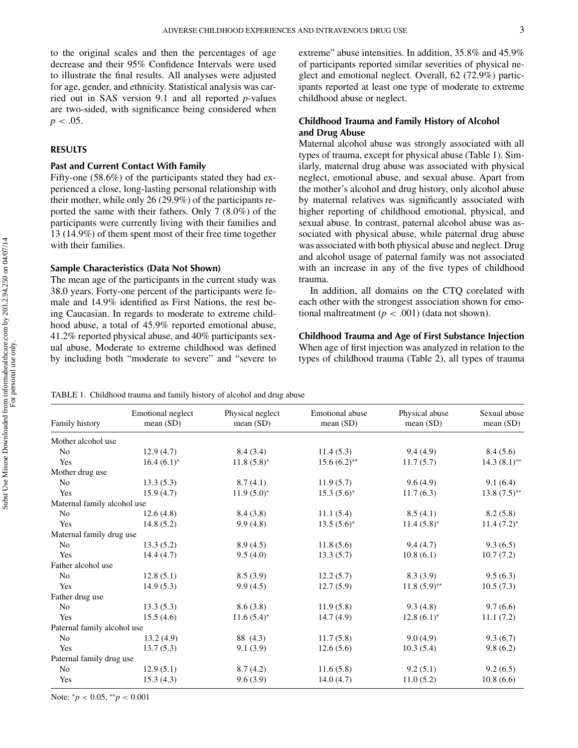to the original scales and then the percentages of age decrease and their 95% Confidence Intervals were used to illustrate the final results. All analyses were adjusted for age, gender, and ethnicity. Statistical analysis was carried out in SAS version 9.1 and all reported *p*-values are two-sided, with significance being considered when  $p < .05$ .

# **RESULTS**

## **Past and Current Contact With Family**

Fifty-one (58.6%) of the participants stated they had experienced a close, long-lasting personal relationship with their mother, while only 26 (29.9%) of the participants reported the same with their fathers. Only 7 (8.0%) of the participants were currently living with their families and 13 (14.9%) of them spent most of their free time together with their families.

#### **Sample Characteristics (Data Not Shown)**

The mean age of the participants in the current study was 38.0 years. Forty-one percent of the participants were female and 14.9% identified as First Nations, the rest being Caucasian. In regards to moderate to extreme childhood abuse, a total of 45.9% reported emotional abuse, 41.2% reported physical abuse, and 40% participants sexual abuse, Moderate to extreme childhood was defined by including both "moderate to severe" and "severe to extreme" abuse intensities. In addition, 35.8% and 45.9% of participants reported similar severities of physical neglect and emotional neglect. Overall, 62 (72.9%) participants reported at least one type of moderate to extreme childhood abuse or neglect.

# **Childhood Trauma and Family History of Alcohol and Drug Abuse**

Maternal alcohol abuse was strongly associated with all types of trauma, except for physical abuse (Table 1). Similarly, maternal drug abuse was associated with physical neglect, emotional abuse, and sexual abuse. Apart from the mother's alcohol and drug history, only alcohol abuse by maternal relatives was significantly associated with higher reporting of childhood emotional, physical, and sexual abuse. In contrast, paternal alcohol abuse was associated with physical abuse, while paternal drug abuse was associated with both physical abuse and neglect. Drug and alcohol usage of paternal family was not associated with an increase in any of the five types of childhood trauma.

In addition, all domains on the CTQ corelated with each other with the strongest association shown for emotional maltreatment ( $p < .001$ ) (data not shown).

# **Childhood Trauma and Age of First Substance Injection** When age of first injection was analyzed in relation to the types of childhood trauma (Table 2), all types of trauma

|  | TABLE 1. Childhood trauma and family history of alcohol and drug abuse |  |  |  |  |
|--|------------------------------------------------------------------------|--|--|--|--|
|--|------------------------------------------------------------------------|--|--|--|--|

| Family history              | Emotional neglect<br>mean(SD) | Physical neglect<br>mean $(SD)$ | Emotional abuse<br>mean(SD) | Physical abuse<br>mean $(SD)$ | Sexual abuse<br>mean(SD) |
|-----------------------------|-------------------------------|---------------------------------|-----------------------------|-------------------------------|--------------------------|
| Mother alcohol use          |                               |                                 |                             |                               |                          |
| No                          | 12.9(4.7)                     | 8.4(3.4)                        | 11.4(5.3)                   | 9.4(4.9)                      | 8.4(5.6)                 |
| Yes                         | $16.4(6.1)^*$                 | $11.8(5.8)^{*}$                 | $15.6(6.2)$ **              | 11.7(5.7)                     | $14.3(8.1)$ **           |
| Mother drug use             |                               |                                 |                             |                               |                          |
| No                          | 13.3(5.3)                     | 8.7(4.1)                        | 11.9(5.7)                   | 9.6(4.9)                      | 9.1(6.4)                 |
| Yes                         | 15.9(4.7)                     | $11.9(5.0)^{*}$                 | $15.3(5.6)^{*}$             | 11.7(6.3)                     | $13.8(7.5)$ **           |
| Maternal family alcohol use |                               |                                 |                             |                               |                          |
| N <sub>o</sub>              | 12.6(4.8)                     | 8.4(3.8)                        | 11.1(5.4)                   | 8.5(4.1)                      | 8.2(5.8)                 |
| Yes                         | 14.8(5.2)                     | 9.9(4.8)                        | $13.5(5.6)^*$               | $11.4(5.8)^{*}$               | $11.4 (7.2)^*$           |
| Maternal family drug use    |                               |                                 |                             |                               |                          |
| No                          | 13.3(5.2)                     | 8.9(4.5)                        | 11.8(5.6)                   | 9.4(4.7)                      | 9.3(6.5)                 |
| Yes                         | 14.4(4.7)                     | 9.5(4.0)                        | 13.3(5.7)                   | 10.8(6.1)                     | 10.7(7.2)                |
| Father alcohol use          |                               |                                 |                             |                               |                          |
| N <sub>0</sub>              | 12.8(5.1)                     | 8.5(3.9)                        | 12.2(5.7)                   | 8.3(3.9)                      | 9.5(6.3)                 |
| Yes                         | 14.9(5.3)                     | 9.9(4.5)                        | 12.7(5.9)                   | $11.8(5.9)$ **                | 10.5(7.3)                |
| Father drug use             |                               |                                 |                             |                               |                          |
| No                          | 13.3(5.3)                     | 8.6(3.8)                        | 11.9(5.8)                   | 9.3(4.8)                      | 9.7(6.6)                 |
| Yes                         | 15.5(4.6)                     | $11.6(5.4)^{*}$                 | 14.7(4.9)                   | $12.8(6.1)^*$                 | 11.1(7.2)                |
| Paternal family alcohol use |                               |                                 |                             |                               |                          |
| No                          | 13.2(4.9)                     | 88 (4.3)                        | 11.7(5.8)                   | 9.0(4.9)                      | 9.3(6.7)                 |
| Yes                         | 13.7(5.3)                     | 9.1(3.9)                        | 12.6(5.6)                   | 10.3(5.4)                     | 9.8(6.2)                 |
| Paternal family drug use    |                               |                                 |                             |                               |                          |
| N <sub>0</sub>              | 12.9(5.1)                     | 8.7(4.2)                        | 11.6(5.8)                   | 9.2(5.1)                      | 9.2(6.5)                 |
| Yes                         | 15.3(4.3)                     | 9.6(3.9)                        | 14.0(4.7)                   | 11.0(5.2)                     | 10.8(6.6)                |

Note: <sup>∗</sup>*p* < 0.05, ∗∗*p* < 0.001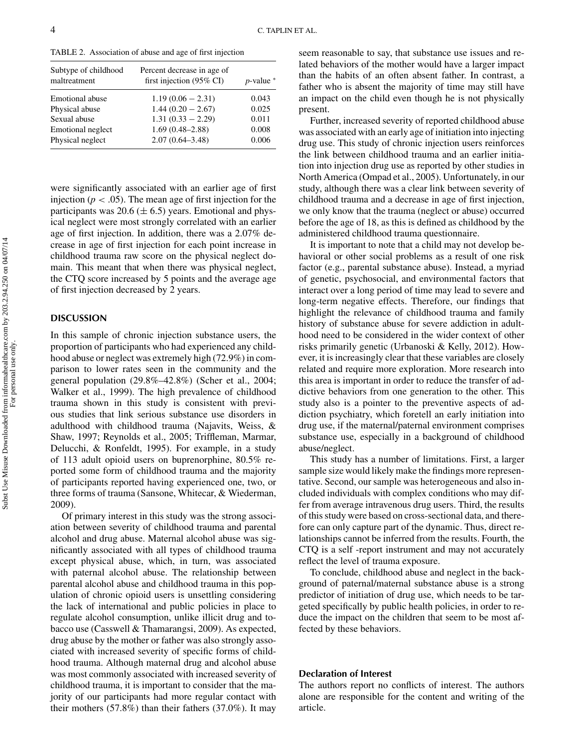TABLE 2. Association of abuse and age of first injection

| Subtype of childhood<br>maltreatment | Percent decrease in age of<br>first injection $(95\% \text{ CI})$ | $p$ -value $*$ |
|--------------------------------------|-------------------------------------------------------------------|----------------|
| Emotional abuse                      | $1.19(0.06 - 2.31)$                                               | 0.043          |
| Physical abuse                       | $1.44(0.20 - 2.67)$                                               | 0.025          |
| Sexual abuse                         | $1.31(0.33 - 2.29)$                                               | 0.011          |
| Emotional neglect                    | $1.69(0.48 - 2.88)$                                               | 0.008          |
| Physical neglect                     | $2.07(0.64 - 3.48)$                                               | 0.006          |

were significantly associated with an earlier age of first injection ( $p < .05$ ). The mean age of first injection for the participants was 20.6 ( $\pm$  6.5) years. Emotional and physical neglect were most strongly correlated with an earlier age of first injection. In addition, there was a 2.07% decrease in age of first injection for each point increase in childhood trauma raw score on the physical neglect domain. This meant that when there was physical neglect, the CTQ score increased by 5 points and the average age of first injection decreased by 2 years.

# **DISCUSSION**

In this sample of chronic injection substance users, the proportion of participants who had experienced any childhood abuse or neglect was extremely high (72.9%) in comparison to lower rates seen in the community and the general population (29.8%–42.8%) (Scher et al., 2004; Walker et al., 1999). The high prevalence of childhood trauma shown in this study is consistent with previous studies that link serious substance use disorders in adulthood with childhood trauma (Najavits, Weiss, & Shaw, 1997; Reynolds et al., 2005; Triffleman, Marmar, Delucchi, & Ronfeldt, 1995). For example, in a study of 113 adult opioid users on buprenorphine, 80.5% reported some form of childhood trauma and the majority of participants reported having experienced one, two, or three forms of trauma (Sansone, Whitecar, & Wiederman, 2009).

Of primary interest in this study was the strong association between severity of childhood trauma and parental alcohol and drug abuse. Maternal alcohol abuse was significantly associated with all types of childhood trauma except physical abuse, which, in turn, was associated with paternal alcohol abuse. The relationship between parental alcohol abuse and childhood trauma in this population of chronic opioid users is unsettling considering the lack of international and public policies in place to regulate alcohol consumption, unlike illicit drug and tobacco use (Casswell & Thamarangsi, 2009). As expected, drug abuse by the mother or father was also strongly associated with increased severity of specific forms of childhood trauma. Although maternal drug and alcohol abuse was most commonly associated with increased severity of childhood trauma, it is important to consider that the majority of our participants had more regular contact with their mothers (57.8%) than their fathers (37.0%). It may

seem reasonable to say, that substance use issues and related behaviors of the mother would have a larger impact than the habits of an often absent father. In contrast, a father who is absent the majority of time may still have an impact on the child even though he is not physically present.

Further, increased severity of reported childhood abuse was associated with an early age of initiation into injecting drug use. This study of chronic injection users reinforces the link between childhood trauma and an earlier initiation into injection drug use as reported by other studies in North America (Ompad et al., 2005). Unfortunately, in our study, although there was a clear link between severity of childhood trauma and a decrease in age of first injection, we only know that the trauma (neglect or abuse) occurred before the age of 18, as this is defined as childhood by the administered childhood trauma questionnaire.

It is important to note that a child may not develop behavioral or other social problems as a result of one risk factor (e.g., parental substance abuse). Instead, a myriad of genetic, psychosocial, and environmental factors that interact over a long period of time may lead to severe and long-term negative effects. Therefore, our findings that highlight the relevance of childhood trauma and family history of substance abuse for severe addiction in adulthood need to be considered in the wider context of other risks primarily genetic (Urbanoski & Kelly, 2012). However, it is increasingly clear that these variables are closely related and require more exploration. More research into this area is important in order to reduce the transfer of addictive behaviors from one generation to the other. This study also is a pointer to the preventive aspects of addiction psychiatry, which foretell an early initiation into drug use, if the maternal/paternal environment comprises substance use, especially in a background of childhood abuse/neglect.

This study has a number of limitations. First, a larger sample size would likely make the findings more representative. Second, our sample was heterogeneous and also included individuals with complex conditions who may differ from average intravenous drug users. Third, the results of this study were based on cross-sectional data, and therefore can only capture part of the dynamic. Thus, direct relationships cannot be inferred from the results. Fourth, the CTQ is a self -report instrument and may not accurately reflect the level of trauma exposure.

To conclude, childhood abuse and neglect in the background of paternal/maternal substance abuse is a strong predictor of initiation of drug use, which needs to be targeted specifically by public health policies, in order to reduce the impact on the children that seem to be most affected by these behaviors.

# **Declaration of Interest**

The authors report no conflicts of interest. The authors alone are responsible for the content and writing of the article.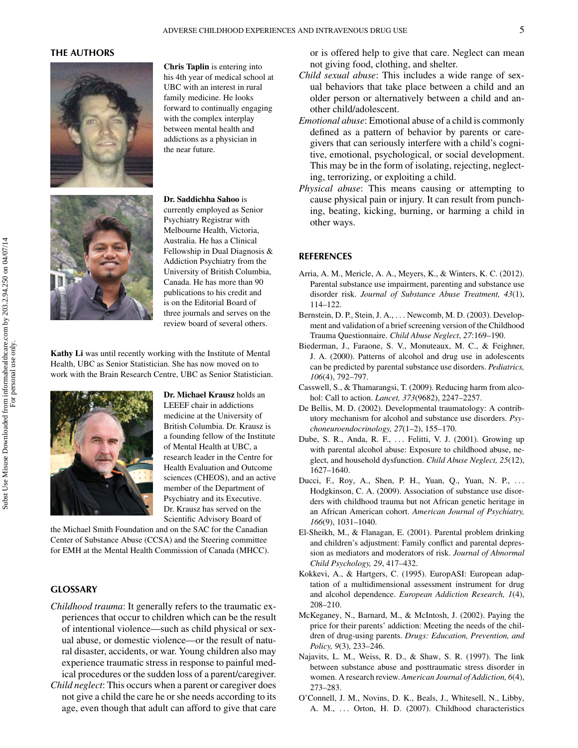# **THE AUTHORS**



**Chris Taplin** is entering into his 4th year of medical school at UBC with an interest in rural family medicine. He looks forward to continually engaging with the complex interplay between mental health and addictions as a physician in the near future.



**Dr. Saddichha Sahoo** is currently employed as Senior

Psychiatry Registrar with Melbourne Health, Victoria, Australia. He has a Clinical Fellowship in Dual Diagnosis & Addiction Psychiatry from the University of British Columbia, Canada. He has more than 90 publications to his credit and is on the Editorial Board of three journals and serves on the review board of several others.

**Kathy Li** was until recently working with the Institute of Mental Health, UBC as Senior Statistician. She has now moved on to work with the Brain Research Centre, UBC as Senior Statistician.



**Dr. Michael Krausz** holds an LEEEF chair in addictions medicine at the University of British Columbia. Dr. Krausz is a founding fellow of the Institute of Mental Health at UBC, a research leader in the Centre for Health Evaluation and Outcome sciences (CHEOS), and an active member of the Department of Psychiatry and its Executive. Dr. Krausz has served on the Scientific Advisory Board of

the Michael Smith Foundation and on the SAC for the Canadian Center of Substance Abuse (CCSA) and the Steering committee for EMH at the Mental Health Commission of Canada (MHCC).

# **GLOSSARY**

- *Childhood trauma*: It generally refers to the traumatic experiences that occur to children which can be the result of intentional violence—such as child physical or sexual abuse, or domestic violence—or the result of natural disaster, accidents, or war. Young children also may experience traumatic stress in response to painful medical procedures or the sudden loss of a parent/caregiver.
- *Child neglect*: This occurs when a parent or caregiver does not give a child the care he or she needs according to its age, even though that adult can afford to give that care

or is offered help to give that care. Neglect can mean not giving food, clothing, and shelter.

- *Child sexual abuse*: This includes a wide range of sexual behaviors that take place between a child and an older person or alternatively between a child and another child/adolescent.
- *Emotional abuse*: Emotional abuse of a child is commonly defined as a pattern of behavior by parents or caregivers that can seriously interfere with a child's cognitive, emotional, psychological, or social development. This may be in the form of isolating, rejecting, neglecting, terrorizing, or exploiting a child.
- *Physical abuse*: This means causing or attempting to cause physical pain or injury. It can result from punching, beating, kicking, burning, or harming a child in other ways.

### **REFERENCES**

- Arria, A. M., Mericle, A. A., Meyers, K., & Winters, K. C. (2012). Parental substance use impairment, parenting and substance use disorder risk. *Journal of Substance Abuse Treatment, 43*(1), 114–122.
- Bernstein, D. P., Stein, J. A., ... Newcomb, M. D. (2003). Development and validation of a brief screening version of the Childhood Trauma Questionnaire. *Child Abuse Neglect*, *27*:169–190.
- Biederman, J., Faraone, S. V., Monuteaux, M. C., & Feighner, J. A. (2000). Patterns of alcohol and drug use in adolescents can be predicted by parental substance use disorders. *Pediatrics, 106*(4), 792–797.
- Casswell, S., & Thamarangsi, T. (2009). Reducing harm from alcohol: Call to action. *Lancet, 373*(9682), 2247–2257.
- De Bellis, M. D. (2002). Developmental traumatology: A contributory mechanism for alcohol and substance use disorders. *Psychoneuroendocrinology, 27*(1–2), 155–170.
- Dube, S. R., Anda, R. F., ... Felitti, V. J. (2001). Growing up with parental alcohol abuse: Exposure to childhood abuse, neglect, and household dysfunction. *Child Abuse Neglect, 25*(12), 1627–1640.
- Ducci, F., Roy, A., Shen, P. H., Yuan, Q., Yuan, N. P., ... Hodgkinson, C. A. (2009). Association of substance use disorders with childhood trauma but not African genetic heritage in an African American cohort. *American Journal of Psychiatry, 166*(9), 1031–1040.
- El-Sheikh, M., & Flanagan, E. (2001). Parental problem drinking and children's adjustment: Family conflict and parental depression as mediators and moderators of risk. *Journal of Abnormal Child Psychology, 29*, 417–432.
- Kokkevi, A., & Hartgers, C. (1995). EuropASI: European adaptation of a multidimensional assessment instrument for drug and alcohol dependence. *European Addiction Research, 1*(4), 208–210.
- McKeganey, N., Barnard, M., & McIntosh, J. (2002). Paying the price for their parents' addiction: Meeting the needs of the children of drug-using parents. *Drugs: Education, Prevention, and Policy, 9*(3), 233–246.
- Najavits, L. M., Weiss, R. D., & Shaw, S. R. (1997). The link between substance abuse and posttraumatic stress disorder in women. A research review. *American Journal of Addiction, 6*(4), 273–283.
- O'Connell, J. M., Novins, D. K., Beals, J., Whitesell, N., Libby, A. M., ... Orton, H. D. (2007). Childhood characteristics